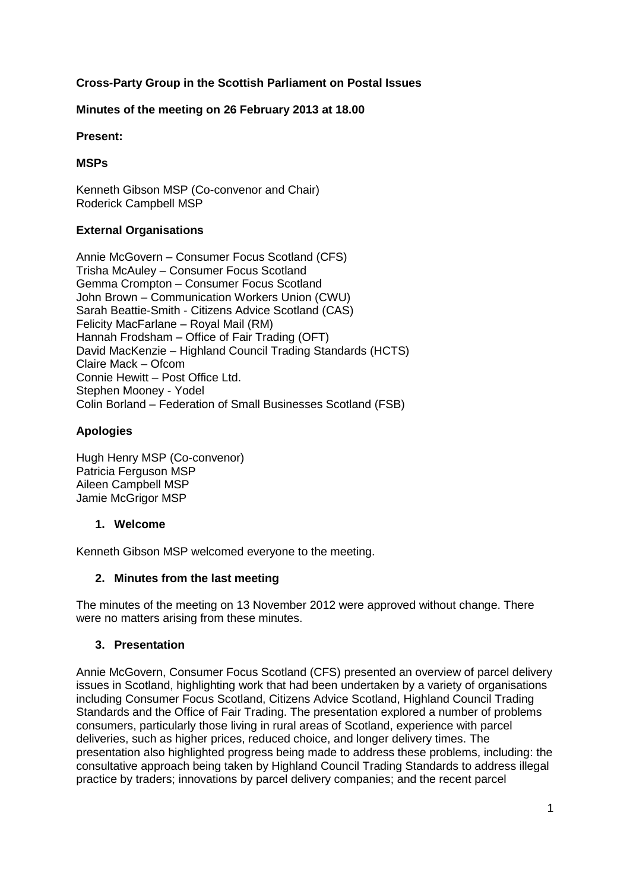## **Cross-Party Group in the Scottish Parliament on Postal Issues**

### **Minutes of the meeting on 26 February 2013 at 18.00**

#### **Present:**

### **MSPs**

Kenneth Gibson MSP (Co-convenor and Chair) Roderick Campbell MSP

### **External Organisations**

Annie McGovern – Consumer Focus Scotland (CFS) Trisha McAuley – Consumer Focus Scotland Gemma Crompton – Consumer Focus Scotland John Brown – Communication Workers Union (CWU) Sarah Beattie-Smith - Citizens Advice Scotland (CAS) Felicity MacFarlane – Royal Mail (RM) Hannah Frodsham – Office of Fair Trading (OFT) David MacKenzie – Highland Council Trading Standards (HCTS) Claire Mack – Ofcom Connie Hewitt – Post Office Ltd. Stephen Mooney - Yodel Colin Borland – Federation of Small Businesses Scotland (FSB)

### **Apologies**

Hugh Henry MSP (Co-convenor) Patricia Ferguson MSP Aileen Campbell MSP Jamie McGrigor MSP

### **1. Welcome**

Kenneth Gibson MSP welcomed everyone to the meeting.

### **2. Minutes from the last meeting**

The minutes of the meeting on 13 November 2012 were approved without change. There were no matters arising from these minutes.

#### **3. Presentation**

Annie McGovern, Consumer Focus Scotland (CFS) presented an overview of parcel delivery issues in Scotland, highlighting work that had been undertaken by a variety of organisations including Consumer Focus Scotland, Citizens Advice Scotland, Highland Council Trading Standards and the Office of Fair Trading. The presentation explored a number of problems consumers, particularly those living in rural areas of Scotland, experience with parcel deliveries, such as higher prices, reduced choice, and longer delivery times. The presentation also highlighted progress being made to address these problems, including: the consultative approach being taken by Highland Council Trading Standards to address illegal practice by traders; innovations by parcel delivery companies; and the recent parcel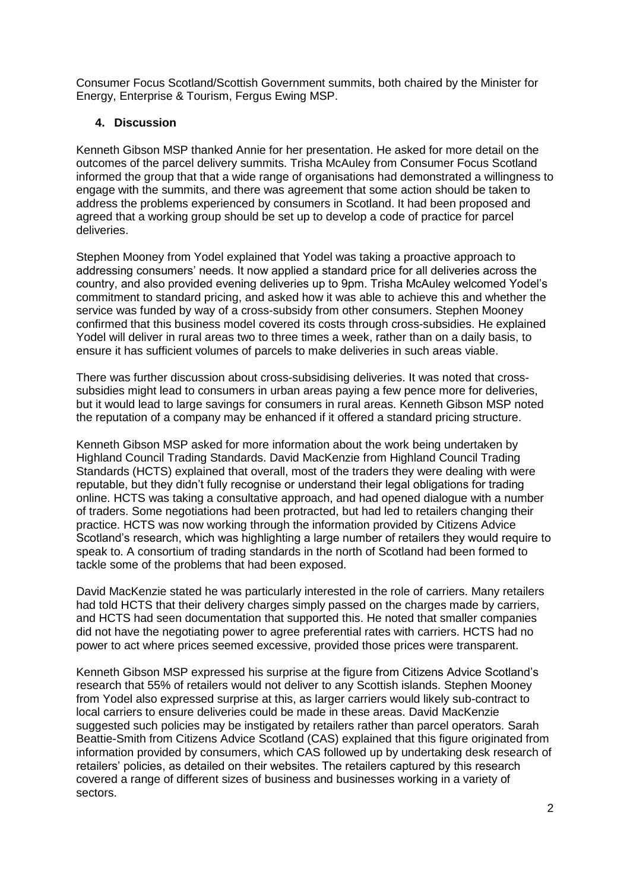Consumer Focus Scotland/Scottish Government summits, both chaired by the Minister for Energy, Enterprise & Tourism, Fergus Ewing MSP.

### **4. Discussion**

Kenneth Gibson MSP thanked Annie for her presentation. He asked for more detail on the outcomes of the parcel delivery summits. Trisha McAuley from Consumer Focus Scotland informed the group that that a wide range of organisations had demonstrated a willingness to engage with the summits, and there was agreement that some action should be taken to address the problems experienced by consumers in Scotland. It had been proposed and agreed that a working group should be set up to develop a code of practice for parcel deliveries.

Stephen Mooney from Yodel explained that Yodel was taking a proactive approach to addressing consumers' needs. It now applied a standard price for all deliveries across the country, and also provided evening deliveries up to 9pm. Trisha McAuley welcomed Yodel's commitment to standard pricing, and asked how it was able to achieve this and whether the service was funded by way of a cross-subsidy from other consumers. Stephen Mooney confirmed that this business model covered its costs through cross-subsidies. He explained Yodel will deliver in rural areas two to three times a week, rather than on a daily basis, to ensure it has sufficient volumes of parcels to make deliveries in such areas viable.

There was further discussion about cross-subsidising deliveries. It was noted that crosssubsidies might lead to consumers in urban areas paying a few pence more for deliveries, but it would lead to large savings for consumers in rural areas. Kenneth Gibson MSP noted the reputation of a company may be enhanced if it offered a standard pricing structure.

Kenneth Gibson MSP asked for more information about the work being undertaken by Highland Council Trading Standards. David MacKenzie from Highland Council Trading Standards (HCTS) explained that overall, most of the traders they were dealing with were reputable, but they didn't fully recognise or understand their legal obligations for trading online. HCTS was taking a consultative approach, and had opened dialogue with a number of traders. Some negotiations had been protracted, but had led to retailers changing their practice. HCTS was now working through the information provided by Citizens Advice Scotland's research, which was highlighting a large number of retailers they would require to speak to. A consortium of trading standards in the north of Scotland had been formed to tackle some of the problems that had been exposed.

David MacKenzie stated he was particularly interested in the role of carriers. Many retailers had told HCTS that their delivery charges simply passed on the charges made by carriers, and HCTS had seen documentation that supported this. He noted that smaller companies did not have the negotiating power to agree preferential rates with carriers. HCTS had no power to act where prices seemed excessive, provided those prices were transparent.

Kenneth Gibson MSP expressed his surprise at the figure from Citizens Advice Scotland's research that 55% of retailers would not deliver to any Scottish islands. Stephen Mooney from Yodel also expressed surprise at this, as larger carriers would likely sub-contract to local carriers to ensure deliveries could be made in these areas. David MacKenzie suggested such policies may be instigated by retailers rather than parcel operators. Sarah Beattie-Smith from Citizens Advice Scotland (CAS) explained that this figure originated from information provided by consumers, which CAS followed up by undertaking desk research of retailers' policies, as detailed on their websites. The retailers captured by this research covered a range of different sizes of business and businesses working in a variety of sectors.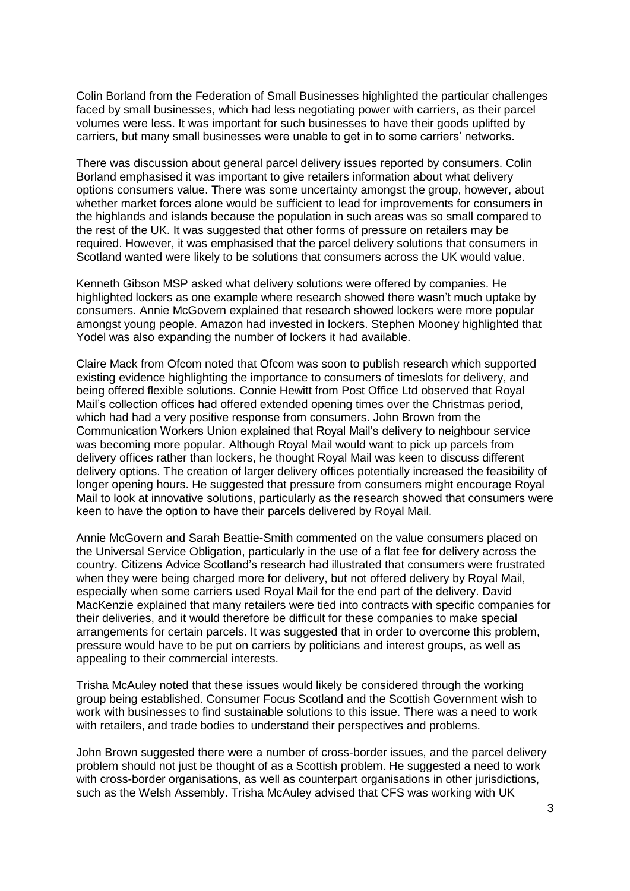Colin Borland from the Federation of Small Businesses highlighted the particular challenges faced by small businesses, which had less negotiating power with carriers, as their parcel volumes were less. It was important for such businesses to have their goods uplifted by carriers, but many small businesses were unable to get in to some carriers' networks.

There was discussion about general parcel delivery issues reported by consumers. Colin Borland emphasised it was important to give retailers information about what delivery options consumers value. There was some uncertainty amongst the group, however, about whether market forces alone would be sufficient to lead for improvements for consumers in the highlands and islands because the population in such areas was so small compared to the rest of the UK. It was suggested that other forms of pressure on retailers may be required. However, it was emphasised that the parcel delivery solutions that consumers in Scotland wanted were likely to be solutions that consumers across the UK would value.

Kenneth Gibson MSP asked what delivery solutions were offered by companies. He highlighted lockers as one example where research showed there wasn't much uptake by consumers. Annie McGovern explained that research showed lockers were more popular amongst young people. Amazon had invested in lockers. Stephen Mooney highlighted that Yodel was also expanding the number of lockers it had available.

Claire Mack from Ofcom noted that Ofcom was soon to publish research which supported existing evidence highlighting the importance to consumers of timeslots for delivery, and being offered flexible solutions. Connie Hewitt from Post Office Ltd observed that Royal Mail's collection offices had offered extended opening times over the Christmas period, which had had a very positive response from consumers. John Brown from the Communication Workers Union explained that Royal Mail's delivery to neighbour service was becoming more popular. Although Royal Mail would want to pick up parcels from delivery offices rather than lockers, he thought Royal Mail was keen to discuss different delivery options. The creation of larger delivery offices potentially increased the feasibility of longer opening hours. He suggested that pressure from consumers might encourage Royal Mail to look at innovative solutions, particularly as the research showed that consumers were keen to have the option to have their parcels delivered by Royal Mail.

Annie McGovern and Sarah Beattie-Smith commented on the value consumers placed on the Universal Service Obligation, particularly in the use of a flat fee for delivery across the country. Citizens Advice Scotland's research had illustrated that consumers were frustrated when they were being charged more for delivery, but not offered delivery by Royal Mail, especially when some carriers used Royal Mail for the end part of the delivery. David MacKenzie explained that many retailers were tied into contracts with specific companies for their deliveries, and it would therefore be difficult for these companies to make special arrangements for certain parcels. It was suggested that in order to overcome this problem, pressure would have to be put on carriers by politicians and interest groups, as well as appealing to their commercial interests.

Trisha McAuley noted that these issues would likely be considered through the working group being established. Consumer Focus Scotland and the Scottish Government wish to work with businesses to find sustainable solutions to this issue. There was a need to work with retailers, and trade bodies to understand their perspectives and problems.

John Brown suggested there were a number of cross-border issues, and the parcel delivery problem should not just be thought of as a Scottish problem. He suggested a need to work with cross-border organisations, as well as counterpart organisations in other jurisdictions, such as the Welsh Assembly. Trisha McAuley advised that CFS was working with UK